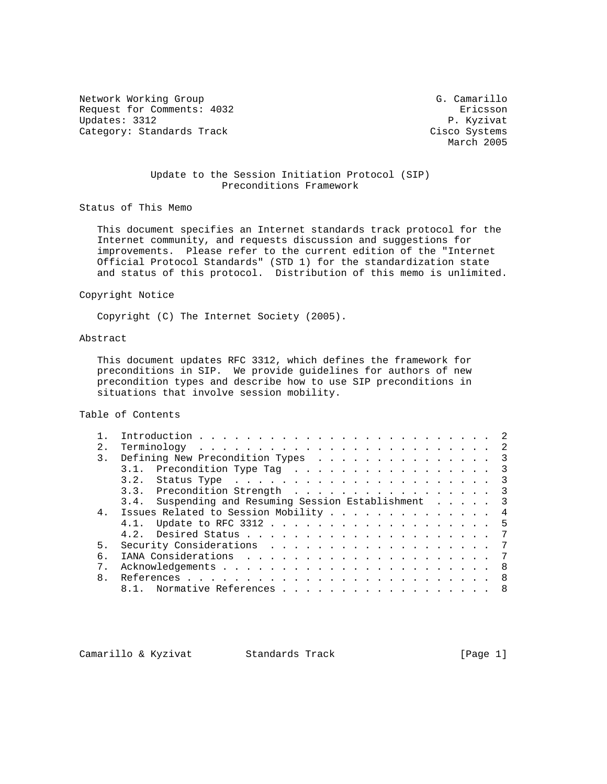Network Working Group G. Camarillo Request for Comments: 4032 Ericsson<br>
Updates: 3312 P. Kyzivat Updates: 3312 P. Kyzivat<br>Category: Standards Track Cisco Systems Category: Standards Track

March 2005

## Update to the Session Initiation Protocol (SIP) Preconditions Framework

Status of This Memo

 This document specifies an Internet standards track protocol for the Internet community, and requests discussion and suggestions for improvements. Please refer to the current edition of the "Internet Official Protocol Standards" (STD 1) for the standardization state and status of this protocol. Distribution of this memo is unlimited.

Copyright Notice

Copyright (C) The Internet Society (2005).

# Abstract

 This document updates RFC 3312, which defines the framework for preconditions in SIP. We provide guidelines for authors of new precondition types and describe how to use SIP preconditions in situations that involve session mobility.

Table of Contents

| 2.1            |                                                      |
|----------------|------------------------------------------------------|
| 3.             | Defining New Precondition Types 3                    |
|                | 3.1. Precondition Type Tag 3                         |
|                |                                                      |
|                | 3.3. Precondition Strength 3                         |
|                | 3.4. Suspending and Resuming Session Establishment 3 |
| 4 <sup>1</sup> | Issues Related to Session Mobility 4                 |
|                | 4.1. Update to RFC 3312 5                            |
|                |                                                      |
| 5.             |                                                      |
| б.             |                                                      |
|                |                                                      |
| 8.             |                                                      |
|                | Normative References 8                               |
|                |                                                      |

Camarillo & Kyzivat Standards Track (Page 1)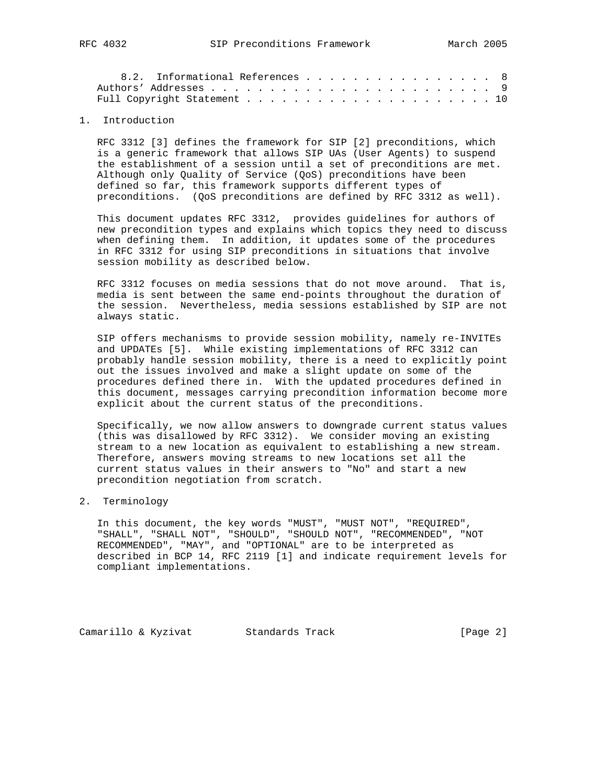|  | 8.2. Informational References 8 |  |  |  |  |  |  |  |  |  |  |  |
|--|---------------------------------|--|--|--|--|--|--|--|--|--|--|--|
|  |                                 |  |  |  |  |  |  |  |  |  |  |  |
|  |                                 |  |  |  |  |  |  |  |  |  |  |  |

### 1. Introduction

 RFC 3312 [3] defines the framework for SIP [2] preconditions, which is a generic framework that allows SIP UAs (User Agents) to suspend the establishment of a session until a set of preconditions are met. Although only Quality of Service (QoS) preconditions have been defined so far, this framework supports different types of preconditions. (QoS preconditions are defined by RFC 3312 as well).

 This document updates RFC 3312, provides guidelines for authors of new precondition types and explains which topics they need to discuss when defining them. In addition, it updates some of the procedures in RFC 3312 for using SIP preconditions in situations that involve session mobility as described below.

 RFC 3312 focuses on media sessions that do not move around. That is, media is sent between the same end-points throughout the duration of the session. Nevertheless, media sessions established by SIP are not always static.

 SIP offers mechanisms to provide session mobility, namely re-INVITEs and UPDATEs [5]. While existing implementations of RFC 3312 can probably handle session mobility, there is a need to explicitly point out the issues involved and make a slight update on some of the procedures defined there in. With the updated procedures defined in this document, messages carrying precondition information become more explicit about the current status of the preconditions.

 Specifically, we now allow answers to downgrade current status values (this was disallowed by RFC 3312). We consider moving an existing stream to a new location as equivalent to establishing a new stream. Therefore, answers moving streams to new locations set all the current status values in their answers to "No" and start a new precondition negotiation from scratch.

### 2. Terminology

 In this document, the key words "MUST", "MUST NOT", "REQUIRED", "SHALL", "SHALL NOT", "SHOULD", "SHOULD NOT", "RECOMMENDED", "NOT RECOMMENDED", "MAY", and "OPTIONAL" are to be interpreted as described in BCP 14, RFC 2119 [1] and indicate requirement levels for compliant implementations.

Camarillo & Kyzivat Standards Track [Page 2]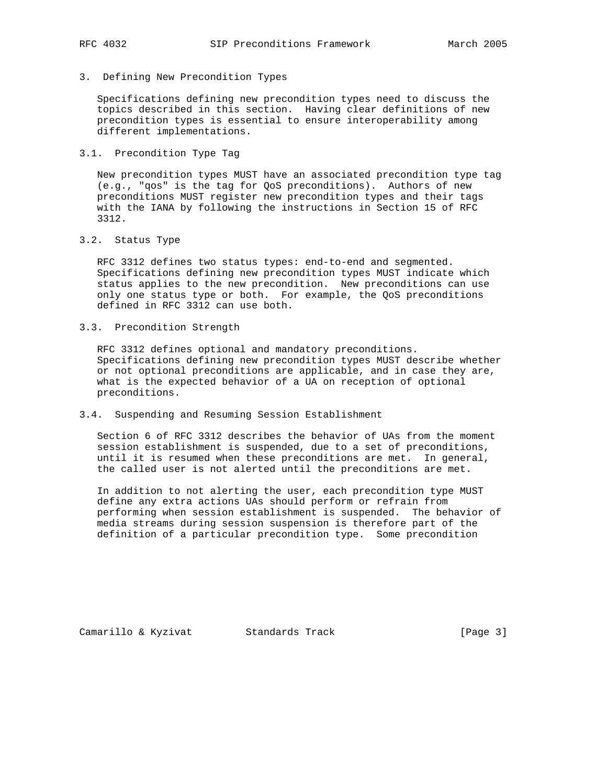3. Defining New Precondition Types

 Specifications defining new precondition types need to discuss the topics described in this section. Having clear definitions of new precondition types is essential to ensure interoperability among different implementations.

3.1. Precondition Type Tag

 New precondition types MUST have an associated precondition type tag (e.g., "qos" is the tag for QoS preconditions). Authors of new preconditions MUST register new precondition types and their tags with the IANA by following the instructions in Section 15 of RFC 3312.

3.2. Status Type

 RFC 3312 defines two status types: end-to-end and segmented. Specifications defining new precondition types MUST indicate which status applies to the new precondition. New preconditions can use only one status type or both. For example, the QoS preconditions defined in RFC 3312 can use both.

3.3. Precondition Strength

 RFC 3312 defines optional and mandatory preconditions. Specifications defining new precondition types MUST describe whether or not optional preconditions are applicable, and in case they are, what is the expected behavior of a UA on reception of optional preconditions.

3.4. Suspending and Resuming Session Establishment

 Section 6 of RFC 3312 describes the behavior of UAs from the moment session establishment is suspended, due to a set of preconditions, until it is resumed when these preconditions are met. In general, the called user is not alerted until the preconditions are met.

 In addition to not alerting the user, each precondition type MUST define any extra actions UAs should perform or refrain from performing when session establishment is suspended. The behavior of media streams during session suspension is therefore part of the definition of a particular precondition type. Some precondition

Camarillo & Kyzivat Standards Track [Page 3]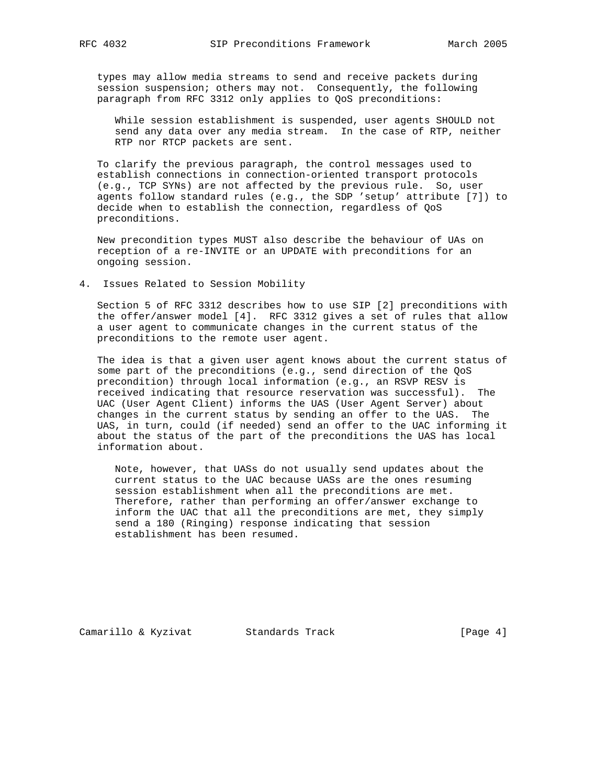types may allow media streams to send and receive packets during session suspension; others may not. Consequently, the following paragraph from RFC 3312 only applies to QoS preconditions:

 While session establishment is suspended, user agents SHOULD not send any data over any media stream. In the case of RTP, neither RTP nor RTCP packets are sent.

 To clarify the previous paragraph, the control messages used to establish connections in connection-oriented transport protocols (e.g., TCP SYNs) are not affected by the previous rule. So, user agents follow standard rules (e.g., the SDP 'setup' attribute [7]) to decide when to establish the connection, regardless of QoS preconditions.

 New precondition types MUST also describe the behaviour of UAs on reception of a re-INVITE or an UPDATE with preconditions for an ongoing session.

4. Issues Related to Session Mobility

 Section 5 of RFC 3312 describes how to use SIP [2] preconditions with the offer/answer model [4]. RFC 3312 gives a set of rules that allow a user agent to communicate changes in the current status of the preconditions to the remote user agent.

 The idea is that a given user agent knows about the current status of some part of the preconditions (e.g., send direction of the QoS precondition) through local information (e.g., an RSVP RESV is received indicating that resource reservation was successful). The UAC (User Agent Client) informs the UAS (User Agent Server) about changes in the current status by sending an offer to the UAS. The UAS, in turn, could (if needed) send an offer to the UAC informing it about the status of the part of the preconditions the UAS has local information about.

 Note, however, that UASs do not usually send updates about the current status to the UAC because UASs are the ones resuming session establishment when all the preconditions are met. Therefore, rather than performing an offer/answer exchange to inform the UAC that all the preconditions are met, they simply send a 180 (Ringing) response indicating that session establishment has been resumed.

Camarillo & Kyzivat Standards Track (Page 4)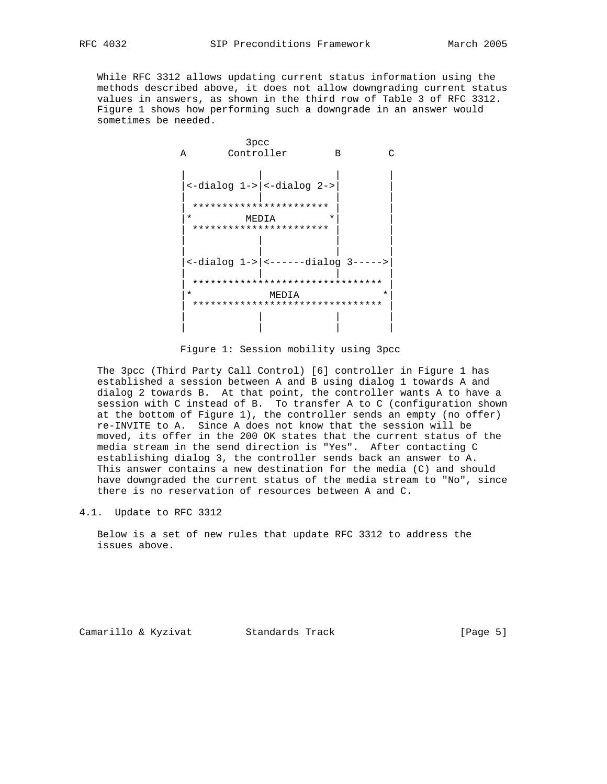While RFC 3312 allows updating current status information using the methods described above, it does not allow downgrading current status values in answers, as shown in the third row of Table 3 of RFC 3312. Figure 1 shows how performing such a downgrade in an answer would sometimes be needed.



Figure 1: Session mobility using 3pcc

 The 3pcc (Third Party Call Control) [6] controller in Figure 1 has established a session between A and B using dialog 1 towards A and dialog 2 towards B. At that point, the controller wants A to have a session with C instead of B. To transfer A to C (configuration shown at the bottom of Figure 1), the controller sends an empty (no offer) re-INVITE to A. Since A does not know that the session will be moved, its offer in the 200 OK states that the current status of the media stream in the send direction is "Yes". After contacting C establishing dialog 3, the controller sends back an answer to A. This answer contains a new destination for the media (C) and should have downgraded the current status of the media stream to "No", since there is no reservation of resources between A and C.

4.1. Update to RFC 3312

 Below is a set of new rules that update RFC 3312 to address the issues above.

Camarillo & Kyzivat Standards Track (Page 5)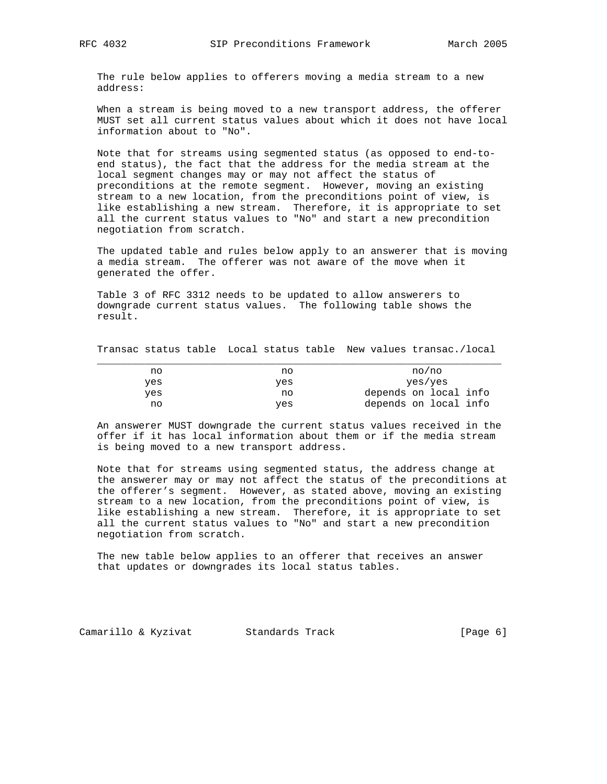The rule below applies to offerers moving a media stream to a new address:

 When a stream is being moved to a new transport address, the offerer MUST set all current status values about which it does not have local information about to "No".

 Note that for streams using segmented status (as opposed to end-to end status), the fact that the address for the media stream at the local segment changes may or may not affect the status of preconditions at the remote segment. However, moving an existing stream to a new location, from the preconditions point of view, is like establishing a new stream. Therefore, it is appropriate to set all the current status values to "No" and start a new precondition negotiation from scratch.

 The updated table and rules below apply to an answerer that is moving a media stream. The offerer was not aware of the move when it generated the offer.

 Table 3 of RFC 3312 needs to be updated to allow answerers to downgrade current status values. The following table shows the result.

Transac status table Local status table New values transac./local

| no  | no  | no/no                 |
|-----|-----|-----------------------|
| ves | yes | yes/yes               |
| yes | no  | depends on local info |
| no  | yes | depends on local info |

 An answerer MUST downgrade the current status values received in the offer if it has local information about them or if the media stream is being moved to a new transport address.

 Note that for streams using segmented status, the address change at the answerer may or may not affect the status of the preconditions at the offerer's segment. However, as stated above, moving an existing stream to a new location, from the preconditions point of view, is like establishing a new stream. Therefore, it is appropriate to set all the current status values to "No" and start a new precondition negotiation from scratch.

 The new table below applies to an offerer that receives an answer that updates or downgrades its local status tables.

Camarillo & Kyzivat Standards Track (Page 6)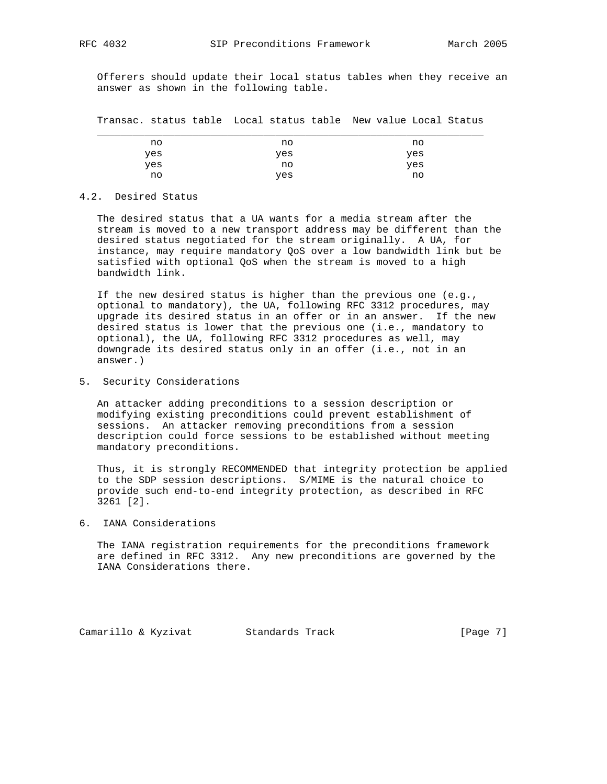Offerers should update their local status tables when they receive an answer as shown in the following table.

Transac. status table Local status table New value Local Status

| no  | no  | no  |  |
|-----|-----|-----|--|
| yes | yes | yes |  |
| yes | no  | yes |  |
| no  | yes | no  |  |

### 4.2. Desired Status

 The desired status that a UA wants for a media stream after the stream is moved to a new transport address may be different than the desired status negotiated for the stream originally. A UA, for instance, may require mandatory QoS over a low bandwidth link but be satisfied with optional QoS when the stream is moved to a high bandwidth link.

 If the new desired status is higher than the previous one (e.g., optional to mandatory), the UA, following RFC 3312 procedures, may upgrade its desired status in an offer or in an answer. If the new desired status is lower that the previous one (i.e., mandatory to optional), the UA, following RFC 3312 procedures as well, may downgrade its desired status only in an offer (i.e., not in an answer.)

5. Security Considerations

 An attacker adding preconditions to a session description or modifying existing preconditions could prevent establishment of sessions. An attacker removing preconditions from a session description could force sessions to be established without meeting mandatory preconditions.

 Thus, it is strongly RECOMMENDED that integrity protection be applied to the SDP session descriptions. S/MIME is the natural choice to provide such end-to-end integrity protection, as described in RFC 3261 [2].

6. IANA Considerations

 The IANA registration requirements for the preconditions framework are defined in RFC 3312. Any new preconditions are governed by the IANA Considerations there.

Camarillo & Kyzivat Standards Track [Page 7]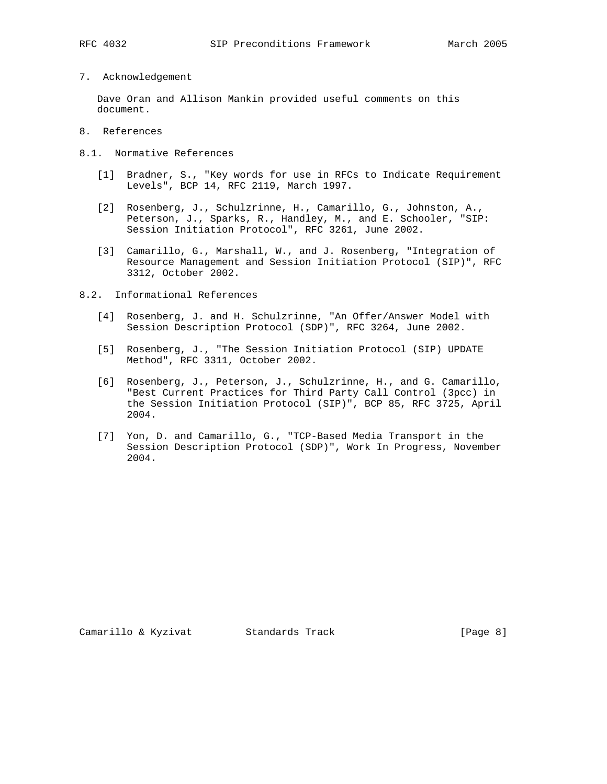7. Acknowledgement

 Dave Oran and Allison Mankin provided useful comments on this document.

- 8. References
- 8.1. Normative References
	- [1] Bradner, S., "Key words for use in RFCs to Indicate Requirement Levels", BCP 14, RFC 2119, March 1997.
	- [2] Rosenberg, J., Schulzrinne, H., Camarillo, G., Johnston, A., Peterson, J., Sparks, R., Handley, M., and E. Schooler, "SIP: Session Initiation Protocol", RFC 3261, June 2002.
	- [3] Camarillo, G., Marshall, W., and J. Rosenberg, "Integration of Resource Management and Session Initiation Protocol (SIP)", RFC 3312, October 2002.
- 8.2. Informational References
	- [4] Rosenberg, J. and H. Schulzrinne, "An Offer/Answer Model with Session Description Protocol (SDP)", RFC 3264, June 2002.
	- [5] Rosenberg, J., "The Session Initiation Protocol (SIP) UPDATE Method", RFC 3311, October 2002.
	- [6] Rosenberg, J., Peterson, J., Schulzrinne, H., and G. Camarillo, "Best Current Practices for Third Party Call Control (3pcc) in the Session Initiation Protocol (SIP)", BCP 85, RFC 3725, April 2004.
	- [7] Yon, D. and Camarillo, G., "TCP-Based Media Transport in the Session Description Protocol (SDP)", Work In Progress, November 2004.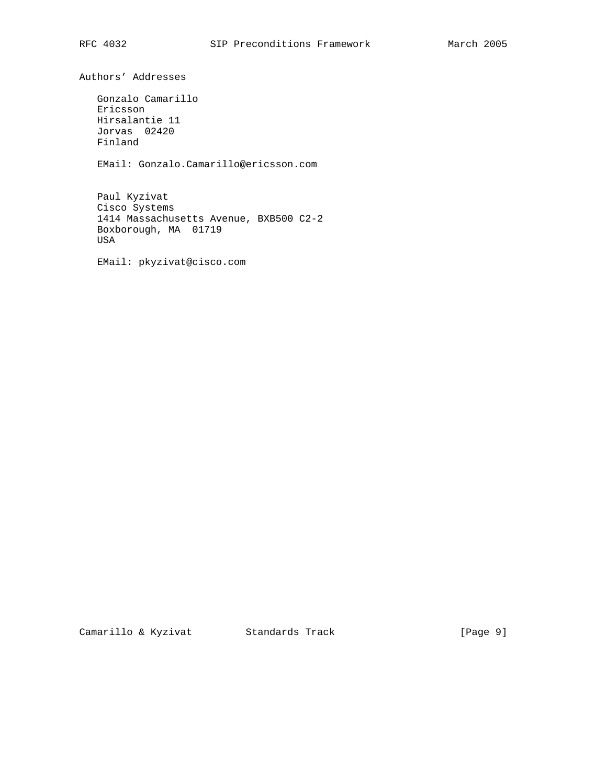Authors' Addresses

 Gonzalo Camarillo Ericsson Hirsalantie 11 Jorvas 02420 Finland

EMail: Gonzalo.Camarillo@ericsson.com

 Paul Kyzivat Cisco Systems 1414 Massachusetts Avenue, BXB500 C2-2 Boxborough, MA 01719 USA

EMail: pkyzivat@cisco.com